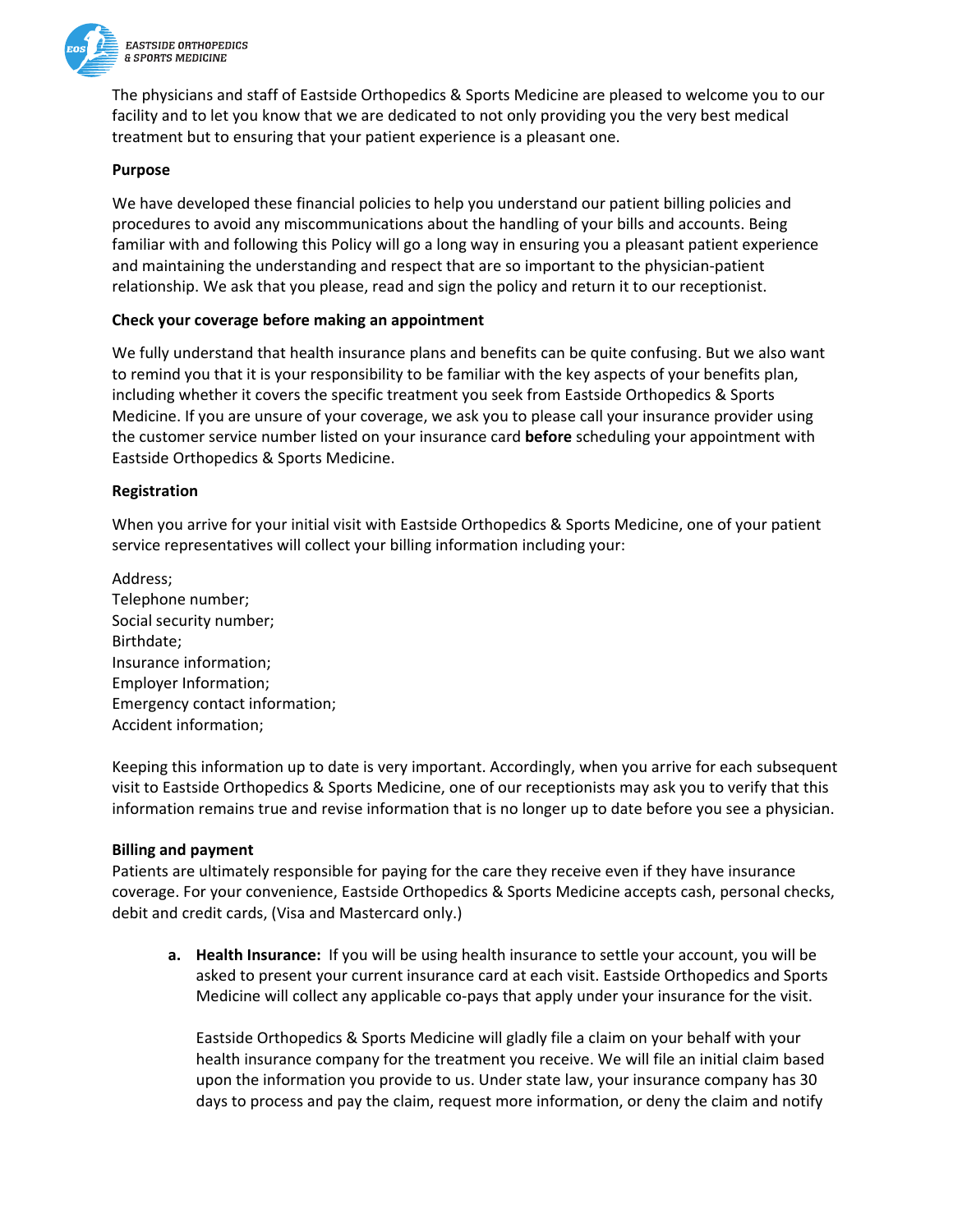

The physicians and staff of Eastside Orthopedics & Sports Medicine are pleased to welcome you to our facility and to let you know that we are dedicated to not only providing you the very best medical treatment but to ensuring that your patient experience is a pleasant one.

## **Purpose**

We have developed these financial policies to help you understand our patient billing policies and procedures to avoid any miscommunications about the handling of your bills and accounts. Being familiar with and following this Policy will go a long way in ensuring you a pleasant patient experience and maintaining the understanding and respect that are so important to the physician‐patient relationship. We ask that you please, read and sign the policy and return it to our receptionist.

## **Check your coverage before making an appointment**

We fully understand that health insurance plans and benefits can be quite confusing. But we also want to remind you that it is your responsibility to be familiar with the key aspects of your benefits plan, including whether it covers the specific treatment you seek from Eastside Orthopedics & Sports Medicine. If you are unsure of your coverage, we ask you to please call your insurance provider using the customer service number listed on your insurance card **before** scheduling your appointment with Eastside Orthopedics & Sports Medicine.

## **Registration**

When you arrive for your initial visit with Eastside Orthopedics & Sports Medicine, one of your patient service representatives will collect your billing information including your:

Address; Telephone number; Social security number; Birthdate; Insurance information; Employer Information; Emergency contact information; Accident information;

Keeping this information up to date is very important. Accordingly, when you arrive for each subsequent visit to Eastside Orthopedics & Sports Medicine, one of our receptionists may ask you to verify that this information remains true and revise information that is no longer up to date before you see a physician.

### **Billing and payment**

Patients are ultimately responsible for paying for the care they receive even if they have insurance coverage. For your convenience, Eastside Orthopedics & Sports Medicine accepts cash, personal checks, debit and credit cards, (Visa and Mastercard only.)

**a. Health Insurance:** If you will be using health insurance to settle your account, you will be asked to present your current insurance card at each visit. Eastside Orthopedics and Sports Medicine will collect any applicable co-pays that apply under your insurance for the visit.

Eastside Orthopedics & Sports Medicine will gladly file a claim on your behalf with your health insurance company for the treatment you receive. We will file an initial claim based upon the information you provide to us. Under state law, your insurance company has 30 days to process and pay the claim, request more information, or deny the claim and notify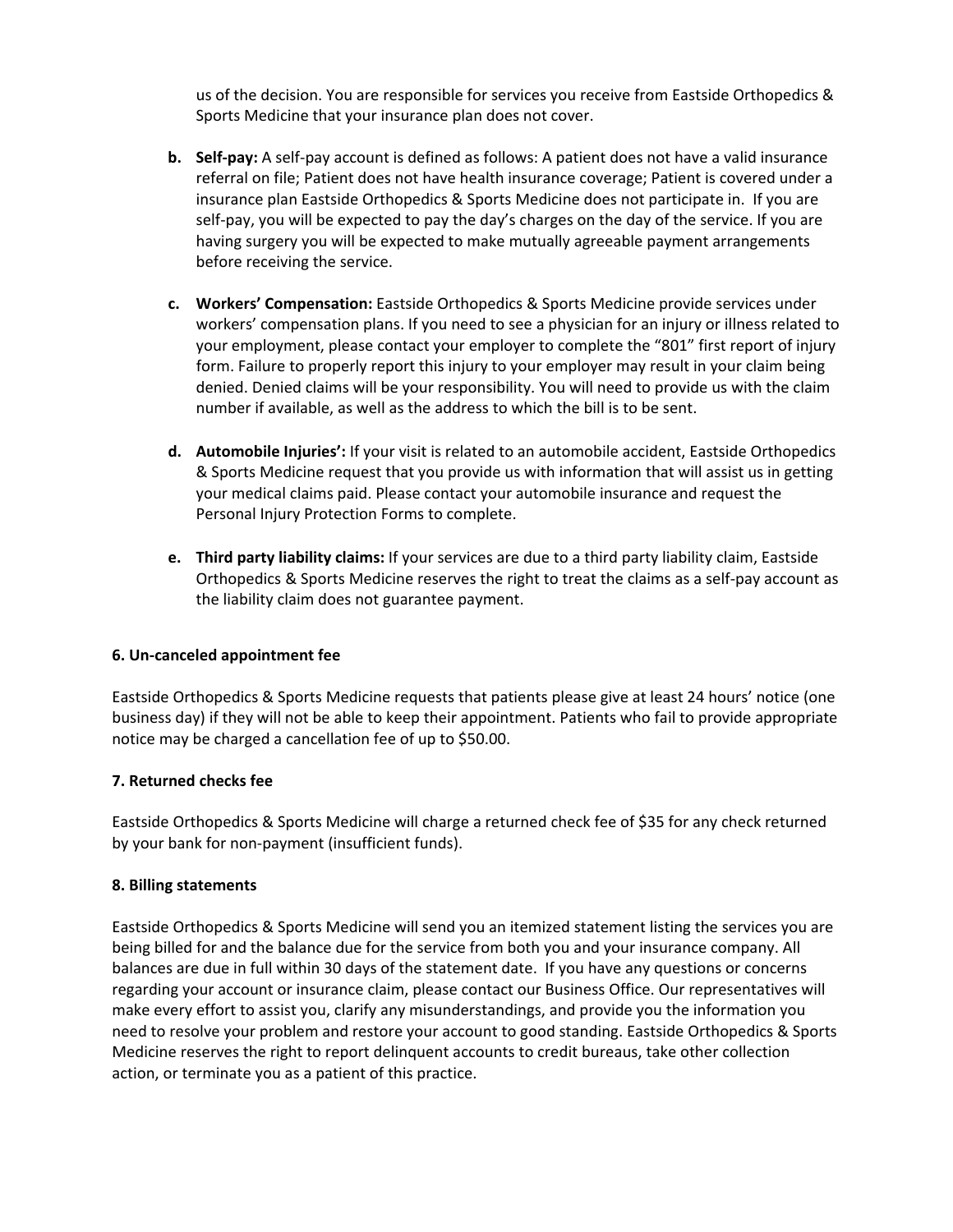us of the decision. You are responsible for services you receive from Eastside Orthopedics & Sports Medicine that your insurance plan does not cover.

- **b. Self‐pay:** A self‐pay account is defined as follows: A patient does not have a valid insurance referral on file; Patient does not have health insurance coverage; Patient is covered under a insurance plan Eastside Orthopedics & Sports Medicine does not participate in. If you are self-pay, you will be expected to pay the day's charges on the day of the service. If you are having surgery you will be expected to make mutually agreeable payment arrangements before receiving the service.
- **c. Workers' Compensation:** Eastside Orthopedics & Sports Medicine provide services under workers' compensation plans. If you need to see a physician for an injury or illness related to your employment, please contact your employer to complete the "801" first report of injury form. Failure to properly report this injury to your employer may result in your claim being denied. Denied claims will be your responsibility. You will need to provide us with the claim number if available, as well as the address to which the bill is to be sent.
- **d. Automobile Injuries':** If your visit is related to an automobile accident, Eastside Orthopedics & Sports Medicine request that you provide us with information that will assist us in getting your medical claims paid. Please contact your automobile insurance and request the Personal Injury Protection Forms to complete.
- **e. Third party liability claims:** If your services are due to a third party liability claim, Eastside Orthopedics & Sports Medicine reserves the right to treat the claims as a self‐pay account as the liability claim does not guarantee payment.

# **6. Un‐canceled appointment fee**

Eastside Orthopedics & Sports Medicine requests that patients please give at least 24 hours' notice (one business day) if they will not be able to keep their appointment. Patients who fail to provide appropriate notice may be charged a cancellation fee of up to \$50.00.

# **7. Returned checks fee**

Eastside Orthopedics & Sports Medicine will charge a returned check fee of \$35 for any check returned by your bank for non‐payment (insufficient funds).

# **8. Billing statements**

Eastside Orthopedics & Sports Medicine will send you an itemized statement listing the services you are being billed for and the balance due for the service from both you and your insurance company. All balances are due in full within 30 days of the statement date. If you have any questions or concerns regarding your account or insurance claim, please contact our Business Office. Our representatives will make every effort to assist you, clarify any misunderstandings, and provide you the information you need to resolve your problem and restore your account to good standing. Eastside Orthopedics & Sports Medicine reserves the right to report delinquent accounts to credit bureaus, take other collection action, or terminate you as a patient of this practice.